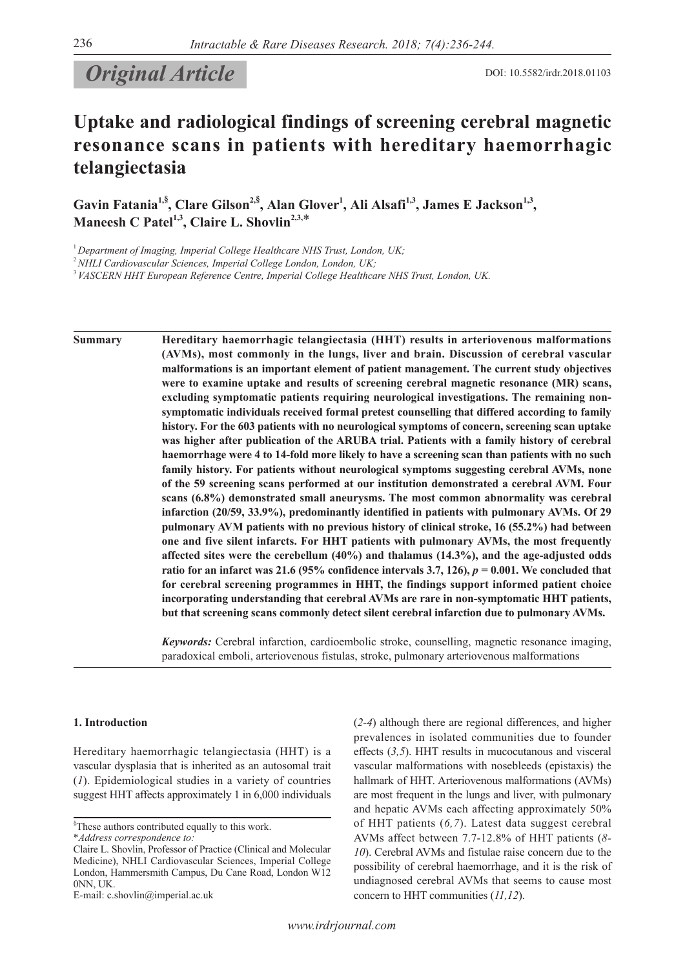# **Original Article** DOI: 10.5582/irdr.2018.01103

# **Uptake and radiological findings of screening cerebral magnetic resonance scans in patients with hereditary haemorrhagic telangiectasia**

Gavin Fatania<sup>1,§</sup>, Clare Gilson<sup>2,§</sup>, Alan Glover<sup>1</sup>, Ali Alsafi<sup>1,3</sup>, James E Jackson<sup>1,3</sup>, Maneesh C Patel<sup>1,3</sup>, Claire L. Shovlin<sup>2,3,\*</sup>

<sup>1</sup>*Department of Imaging, Imperial College Healthcare NHS Trust, London, UK;*

<sup>3</sup>*VASCERN HHT European Reference Centre, Imperial College Healthcare NHS Trust, London, UK.*

**Summary Hereditary haemorrhagic telangiectasia (HHT) results in arteriovenous malformations (AVMs), most commonly in the lungs, liver and brain. Discussion of cerebral vascular malformations is an important element of patient management. The current study objectives were to examine uptake and results of screening cerebral magnetic resonance (MR) scans, excluding symptomatic patients requiring neurological investigations. The remaining nonsymptomatic individuals received formal pretest counselling that differed according to family history. For the 603 patients with no neurological symptoms of concern, screening scan uptake was higher after publication of the ARUBA trial. Patients with a family history of cerebral haemorrhage were 4 to 14-fold more likely to have a screening scan than patients with no such family history. For patients without neurological symptoms suggesting cerebral AVMs, none of the 59 screening scans performed at our institution demonstrated a cerebral AVM. Four scans (6.8%) demonstrated small aneurysms. The most common abnormality was cerebral infarction (20/59, 33.9%), predominantly identified in patients with pulmonary AVMs. Of 29 pulmonary AVM patients with no previous history of clinical stroke, 16 (55.2%) had between one and five silent infarcts. For HHT patients with pulmonary AVMs, the most frequently affected sites were the cerebellum (40%) and thalamus (14.3%), and the age-adjusted odds ratio for an infarct was 21.6 (95% confidence intervals 3.7, 126),**  $p = 0.001$ **. We concluded that for cerebral screening programmes in HHT, the findings support informed patient choice incorporating understanding that cerebral AVMs are rare in non-symptomatic HHT patients, but that screening scans commonly detect silent cerebral infarction due to pulmonary AVMs.**

> *Keywords:* Cerebral infarction, cardioembolic stroke, counselling, magnetic resonance imaging, paradoxical emboli, arteriovenous fistulas, stroke, pulmonary arteriovenous malformations

# **1. Introduction**

Hereditary haemorrhagic telangiectasia (HHT) is a vascular dysplasia that is inherited as an autosomal trait (*1*). Epidemiological studies in a variety of countries suggest HHT affects approximately 1 in 6,000 individuals

(*2-4*) although there are regional differences, and higher prevalences in isolated communities due to founder effects (*3,5*). HHT results in mucocutanous and visceral vascular malformations with nosebleeds (epistaxis) the hallmark of HHT. Arteriovenous malformations (AVMs) are most frequent in the lungs and liver, with pulmonary and hepatic AVMs each affecting approximately 50% of HHT patients (*6,7*). Latest data suggest cerebral AVMs affect between 7.7-12.8% of HHT patients (*8- 10*). Cerebral AVMs and fistulae raise concern due to the possibility of cerebral haemorrhage, and it is the risk of undiagnosed cerebral AVMs that seems to cause most concern to HHT communities (*11,12*).

<sup>2</sup>*NHLI Cardiovascular Sciences, Imperial College London, London, UK;*

<sup>§</sup> These authors contributed equally to this work.

<sup>\*</sup>*Address correspondence to:*

Claire L. Shovlin, Professor of Practice (Clinical and Molecular Medicine), NHLI Cardiovascular Sciences, Imperial College London, Hammersmith Campus, Du Cane Road, London W12 0NN, UK.

E-mail: c.shovlin@imperial.ac.uk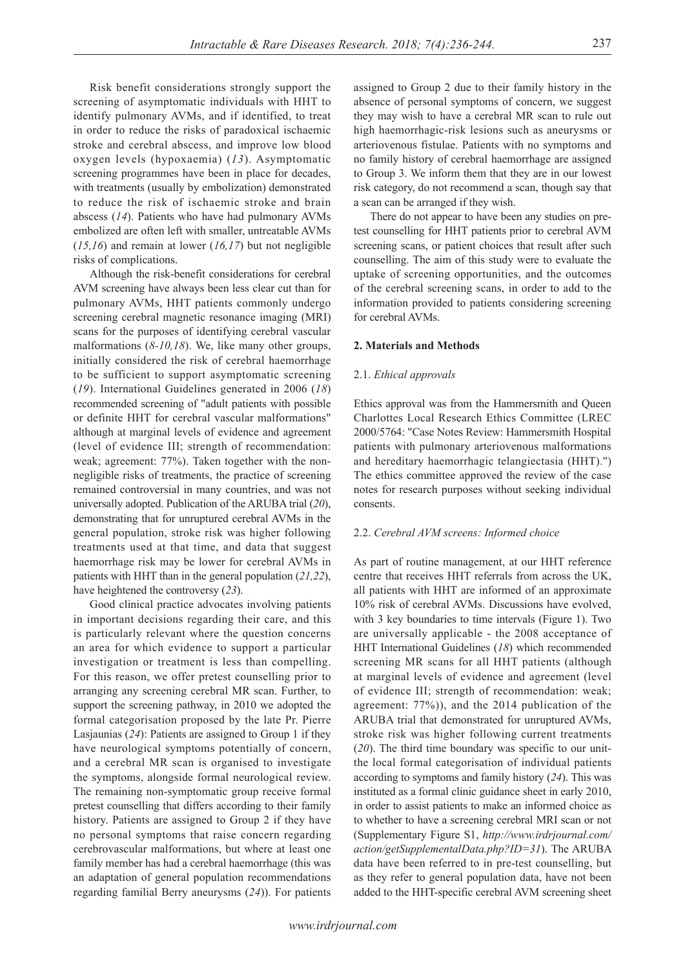Risk benefit considerations strongly support the screening of asymptomatic individuals with HHT to identify pulmonary AVMs, and if identified, to treat in order to reduce the risks of paradoxical ischaemic stroke and cerebral abscess, and improve low blood oxygen levels (hypoxaemia) (*13*). Asymptomatic screening programmes have been in place for decades, with treatments (usually by embolization) demonstrated to reduce the risk of ischaemic stroke and brain abscess (*14*). Patients who have had pulmonary AVMs embolized are often left with smaller, untreatable AVMs (*15,16*) and remain at lower (*16,17*) but not negligible risks of complications.

Although the risk-benefit considerations for cerebral AVM screening have always been less clear cut than for pulmonary AVMs, HHT patients commonly undergo screening cerebral magnetic resonance imaging (MRI) scans for the purposes of identifying cerebral vascular malformations (*8-10,18*). We, like many other groups, initially considered the risk of cerebral haemorrhage to be sufficient to support asymptomatic screening (*19*). International Guidelines generated in 2006 (*18*) recommended screening of "adult patients with possible or definite HHT for cerebral vascular malformations" although at marginal levels of evidence and agreement (level of evidence III; strength of recommendation: weak; agreement: 77%). Taken together with the nonnegligible risks of treatments, the practice of screening remained controversial in many countries, and was not universally adopted. Publication of the ARUBA trial (*20*), demonstrating that for unruptured cerebral AVMs in the general population, stroke risk was higher following treatments used at that time, and data that suggest haemorrhage risk may be lower for cerebral AVMs in patients with HHT than in the general population (*21,22*), have heightened the controversy (*23*).

Good clinical practice advocates involving patients in important decisions regarding their care, and this is particularly relevant where the question concerns an area for which evidence to support a particular investigation or treatment is less than compelling. For this reason, we offer pretest counselling prior to arranging any screening cerebral MR scan. Further, to support the screening pathway, in 2010 we adopted the formal categorisation proposed by the late Pr. Pierre Lasjaunias (*24*): Patients are assigned to Group 1 if they have neurological symptoms potentially of concern, and a cerebral MR scan is organised to investigate the symptoms, alongside formal neurological review. The remaining non-symptomatic group receive formal pretest counselling that differs according to their family history. Patients are assigned to Group 2 if they have no personal symptoms that raise concern regarding cerebrovascular malformations, but where at least one family member has had a cerebral haemorrhage (this was an adaptation of general population recommendations regarding familial Berry aneurysms (*24*)). For patients

assigned to Group 2 due to their family history in the absence of personal symptoms of concern, we suggest they may wish to have a cerebral MR scan to rule out high haemorrhagic-risk lesions such as aneurysms or arteriovenous fistulae. Patients with no symptoms and no family history of cerebral haemorrhage are assigned to Group 3. We inform them that they are in our lowest risk category, do not recommend a scan, though say that a scan can be arranged if they wish.

There do not appear to have been any studies on pretest counselling for HHT patients prior to cerebral AVM screening scans, or patient choices that result after such counselling. The aim of this study were to evaluate the uptake of screening opportunities, and the outcomes of the cerebral screening scans, in order to add to the information provided to patients considering screening for cerebral AVMs.

# **2. Materials and Methods**

# 2.1. *Ethical approvals*

Ethics approval was from the Hammersmith and Queen Charlottes Local Research Ethics Committee (LREC 2000/5764: "Case Notes Review: Hammersmith Hospital patients with pulmonary arteriovenous malformations and hereditary haemorrhagic telangiectasia (HHT).'') The ethics committee approved the review of the case notes for research purposes without seeking individual consents.

# 2.2. *Cerebral AVM screens: Informed choice*

As part of routine management, at our HHT reference centre that receives HHT referrals from across the UK, all patients with HHT are informed of an approximate 10% risk of cerebral AVMs. Discussions have evolved, with 3 key boundaries to time intervals (Figure 1). Two are universally applicable - the 2008 acceptance of HHT International Guidelines (*18*) which recommended screening MR scans for all HHT patients (although at marginal levels of evidence and agreement (level of evidence III; strength of recommendation: weak; agreement: 77%)), and the 2014 publication of the ARUBA trial that demonstrated for unruptured AVMs, stroke risk was higher following current treatments (*20*). The third time boundary was specific to our unitthe local formal categorisation of individual patients according to symptoms and family history (*24*). This was instituted as a formal clinic guidance sheet in early 2010, in order to assist patients to make an informed choice as to whether to have a screening cerebral MRI scan or not (Supplementary Figure S1, *http://www.irdrjournal.com/ action/getSupplementalData.php?ID=31*). The ARUBA data have been referred to in pre-test counselling, but as they refer to general population data, have not been added to the HHT-specific cerebral AVM screening sheet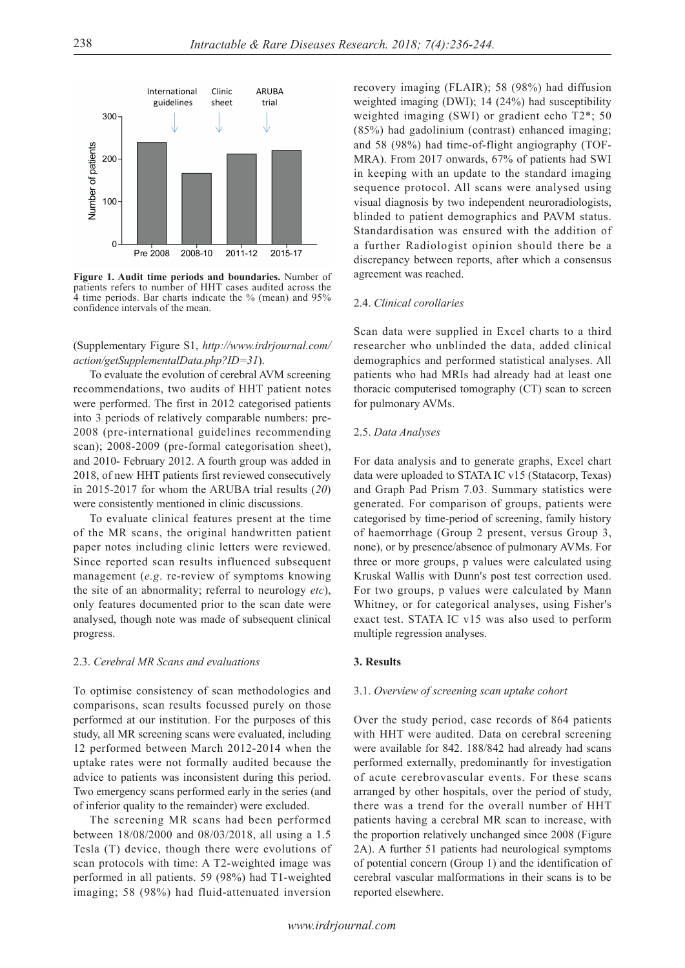

**Figure 1. Audit time periods and boundaries.** Number of patients refers to number of HHT cases audited across the 4 time periods. Bar charts indicate the % (mean) and 95% confidence intervals of the mean.

# (Supplementary Figure S1, *http://www.irdrjournal.com/ action/getSupplementalData.php?ID=31*).

To evaluate the evolution of cerebral AVM screening recommendations, two audits of HHT patient notes were performed. The first in 2012 categorised patients into 3 periods of relatively comparable numbers: pre-2008 (pre-international guidelines recommending scan); 2008-2009 (pre-formal categorisation sheet), and 2010- February 2012. A fourth group was added in 2018, of new HHT patients first reviewed consecutively in 2015-2017 for whom the ARUBA trial results (*20*) were consistently mentioned in clinic discussions.

To evaluate clinical features present at the time of the MR scans, the original handwritten patient paper notes including clinic letters were reviewed. Since reported scan results influenced subsequent management (*e.g*. re-review of symptoms knowing the site of an abnormality; referral to neurology *etc*), only features documented prior to the scan date were analysed, though note was made of subsequent clinical progress.

# 2.3. *Cerebral MR Scans and evaluations*

To optimise consistency of scan methodologies and comparisons, scan results focussed purely on those performed at our institution. For the purposes of this study, all MR screening scans were evaluated, including 12 performed between March 2012-2014 when the uptake rates were not formally audited because the advice to patients was inconsistent during this period. Two emergency scans performed early in the series (and of inferior quality to the remainder) were excluded.

The screening MR scans had been performed between 18/08/2000 and 08/03/2018, all using a 1.5 Tesla (T) device, though there were evolutions of scan protocols with time: A T2-weighted image was performed in all patients. 59 (98%) had T1-weighted imaging; 58 (98%) had fluid-attenuated inversion

recovery imaging (FLAIR); 58 (98%) had diffusion weighted imaging (DWI); 14 (24%) had susceptibility weighted imaging (SWI) or gradient echo T2\*; 50 (85%) had gadolinium (contrast) enhanced imaging; and 58 (98%) had time-of-flight angiography (TOF-MRA). From 2017 onwards, 67% of patients had SWI in keeping with an update to the standard imaging sequence protocol. All scans were analysed using visual diagnosis by two independent neuroradiologists, blinded to patient demographics and PAVM status. Standardisation was ensured with the addition of a further Radiologist opinion should there be a discrepancy between reports, after which a consensus agreement was reached.

### 2.4. *Clinical corollaries*

Scan data were supplied in Excel charts to a third researcher who unblinded the data, added clinical demographics and performed statistical analyses. All patients who had MRIs had already had at least one thoracic computerised tomography (CT) scan to screen for pulmonary AVMs.

# 2.5. *Data Analyses*

For data analysis and to generate graphs, Excel chart data were uploaded to STATA IC v15 (Statacorp, Texas) and Graph Pad Prism 7.03. Summary statistics were generated. For comparison of groups, patients were categorised by time-period of screening, family history of haemorrhage (Group 2 present, versus Group 3, none), or by presence/absence of pulmonary AVMs. For three or more groups, p values were calculated using Kruskal Wallis with Dunn's post test correction used. For two groups, p values were calculated by Mann Whitney, or for categorical analyses, using Fisher's exact test. STATA IC v15 was also used to perform multiple regression analyses.

# **3. Results**

#### 3.1. *Overview of screening scan uptake cohort*

Over the study period, case records of 864 patients with HHT were audited. Data on cerebral screening were available for 842. 188/842 had already had scans performed externally, predominantly for investigation of acute cerebrovascular events. For these scans arranged by other hospitals, over the period of study, there was a trend for the overall number of HHT patients having a cerebral MR scan to increase, with the proportion relatively unchanged since 2008 (Figure 2A). A further 51 patients had neurological symptoms of potential concern (Group 1) and the identification of cerebral vascular malformations in their scans is to be reported elsewhere.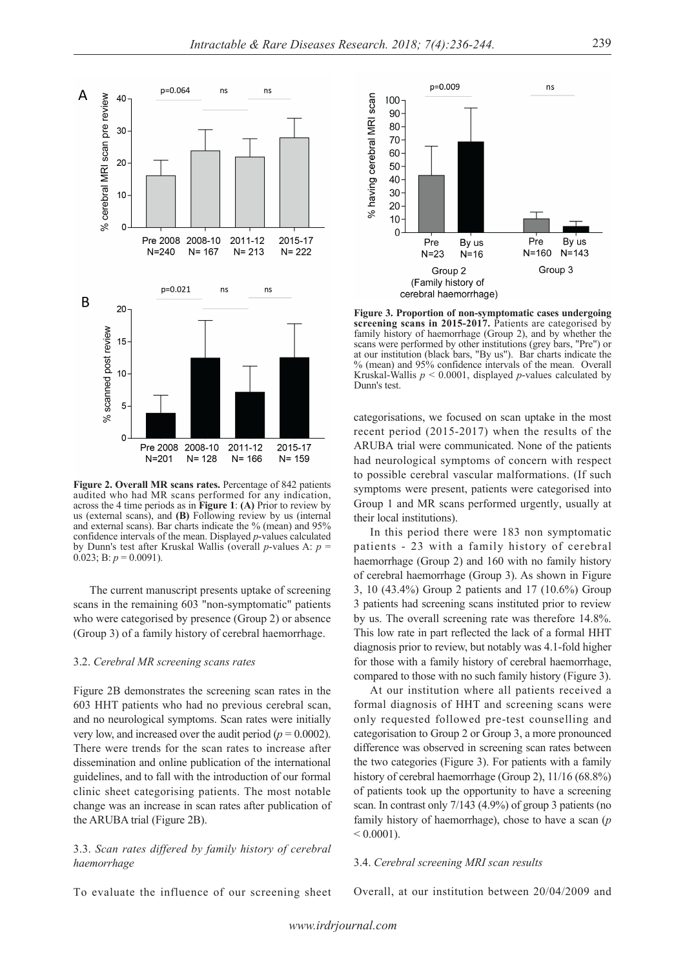

**Figure 2. Overall MR scans rates.** Percentage of 842 patients audited who had MR scans performed for any indication, across the 4 time periods as in **Figure 1**: **(A)** Prior to review by us (external scans), and **(B)** Following review by us (internal and external scans). Bar charts indicate the % (mean) and 95% confidence intervals of the mean. Displayed *p*-values calculated by Dunn's test after Kruskal Wallis (overall *p*-values A: *p* 0.023; B:  $p = 0.0091$ ).

The current manuscript presents uptake of screening scans in the remaining 603 "non-symptomatic" patients who were categorised by presence (Group 2) or absence (Group 3) of a family history of cerebral haemorrhage.

# 3.2. *Cerebral MR screening scans rates*

Figure 2B demonstrates the screening scan rates in the 603 HHT patients who had no previous cerebral scan, and no neurological symptoms. Scan rates were initially very low, and increased over the audit period ( $p = 0.0002$ ). There were trends for the scan rates to increase after dissemination and online publication of the international guidelines, and to fall with the introduction of our formal clinic sheet categorising patients. The most notable change was an increase in scan rates after publication of the ARUBA trial (Figure 2B).

# 3.3. *Scan rates differed by family history of cerebral haemorrhage*

To evaluate the influence of our screening sheet



**Figure 3. Proportion of non-symptomatic cases undergoing screening scans in 2015-2017.** Patients are categorised by family history of haemorrhage (Group 2), and by whether the scans were performed by other institutions (grey bars, "Pre") or at our institution (black bars, "By us"). Bar charts indicate the % (mean) and 95% confidence intervals of the mean. Overall Kruskal-Wallis *p* < 0.0001, displayed *p*-values calculated by Dunn's test.

categorisations, we focused on scan uptake in the most recent period (2015-2017) when the results of the ARUBA trial were communicated. None of the patients had neurological symptoms of concern with respect to possible cerebral vascular malformations. (If such symptoms were present, patients were categorised into Group 1 and MR scans performed urgently, usually at their local institutions).

In this period there were 183 non symptomatic patients - 23 with a family history of cerebral haemorrhage (Group 2) and 160 with no family history of cerebral haemorrhage (Group 3). As shown in Figure 3, 10 (43.4%) Group 2 patients and 17 (10.6%) Group 3 patients had screening scans instituted prior to review by us. The overall screening rate was therefore 14.8%. This low rate in part reflected the lack of a formal HHT diagnosis prior to review, but notably was 4.1-fold higher for those with a family history of cerebral haemorrhage, compared to those with no such family history (Figure 3).

At our institution where all patients received a formal diagnosis of HHT and screening scans were only requested followed pre-test counselling and categorisation to Group 2 or Group 3, a more pronounced difference was observed in screening scan rates between the two categories (Figure 3). For patients with a family history of cerebral haemorrhage (Group 2),  $11/16$  (68.8%) of patients took up the opportunity to have a screening scan. In contrast only 7/143 (4.9%) of group 3 patients (no family history of haemorrhage), chose to have a scan (*p*  $< 0.0001$ ).

# 3.4. *Cerebral screening MRI scan results*

Overall, at our institution between 20/04/2009 and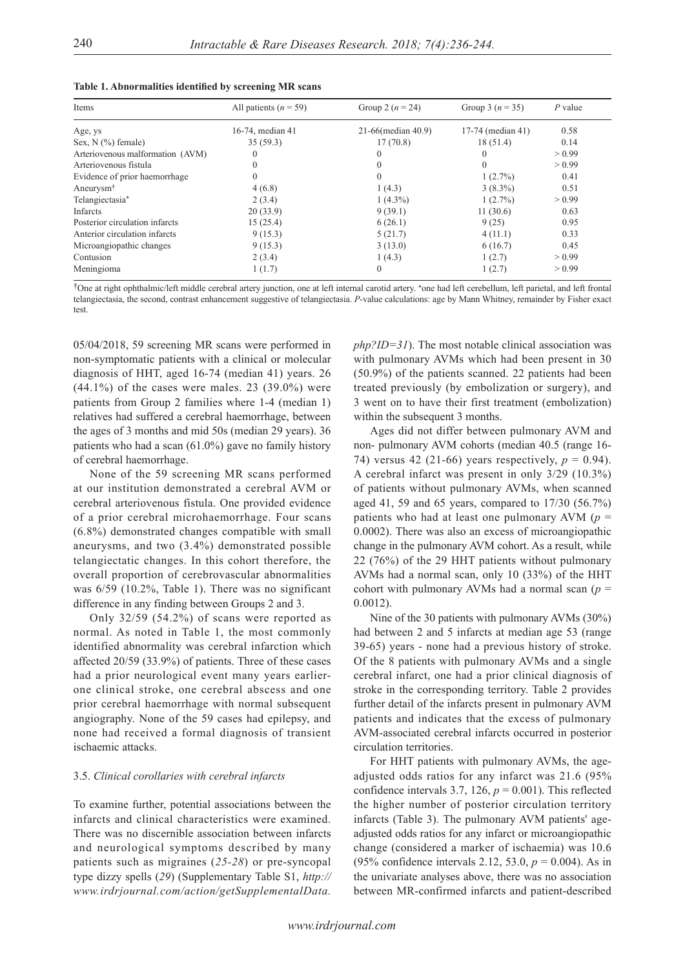| Table 1. Abnormalities identified by screening MR scans |  |  |  |
|---------------------------------------------------------|--|--|--|
|---------------------------------------------------------|--|--|--|

| Items                            | All patients $(n = 59)$ | Group 2 ( $n = 24$ )  | Group 3 ( $n = 35$ ) | $P$ value |  |
|----------------------------------|-------------------------|-----------------------|----------------------|-----------|--|
| Age, ys                          | 16-74, median 41        | $21-66$ (median 40.9) | 17-74 (median 41)    | 0.58      |  |
| Sex, $N$ $(\%)$ female)          | 35(59.3)                | 17(70.8)              | 18(51.4)             | 0.14      |  |
| Arteriovenous malformation (AVM) | $\theta$                | $\theta$              | $\Omega$             | > 0.99    |  |
| Arteriovenous fistula            | $\Omega$                |                       | $\Omega$             | > 0.99    |  |
| Evidence of prior haemorrhage    | $\theta$                | $\Omega$              | 1(2.7%)              | 0.41      |  |
| Aneurysm <sup>†</sup>            | 4(6.8)                  | 1(4.3)                | $3(8.3\%)$           | 0.51      |  |
| Telangiectasia*                  | 2(3.4)                  | $1(4.3\%)$            | 1(2.7%)              | > 0.99    |  |
| <b>Infarcts</b>                  | 20(33.9)                | 9(39.1)               | 11(30.6)             | 0.63      |  |
| Posterior circulation infarcts   | 15 (25.4)               | 6(26.1)               | 9(25)                | 0.95      |  |
| Anterior circulation infarcts    | 9(15.3)                 | 5(21.7)               | 4(11.1)              | 0.33      |  |
| Microangiopathic changes         | 9(15.3)                 | 3(13.0)               | 6(16.7)              | 0.45      |  |
| Contusion                        | 2(3.4)                  | 1(4.3)                | 1(2.7)               | > 0.99    |  |
| Meningioma                       | 1(1.7)                  | $\overline{0}$        | 1(2.7)               | > 0.99    |  |

†One at right ophthalmic/left middle cerebral artery junction, one at left internal carotid artery. \*one had left cerebellum, left parietal, and left frontal telangiectasia, the second, contrast enhancement suggestive of telangiectasia. *P*-value calculations: age by Mann Whitney, remainder by Fisher exact test.

05/04/2018, 59 screening MR scans were performed in non-symptomatic patients with a clinical or molecular diagnosis of HHT, aged 16-74 (median 41) years. 26  $(44.1\%)$  of the cases were males. 23 (39.0%) were patients from Group 2 families where 1-4 (median 1) relatives had suffered a cerebral haemorrhage, between the ages of 3 months and mid 50s (median 29 years). 36 patients who had a scan (61.0%) gave no family history of cerebral haemorrhage.

None of the 59 screening MR scans performed at our institution demonstrated a cerebral AVM or cerebral arteriovenous fistula. One provided evidence of a prior cerebral microhaemorrhage. Four scans (6.8%) demonstrated changes compatible with small aneurysms, and two (3.4%) demonstrated possible telangiectatic changes. In this cohort therefore, the overall proportion of cerebrovascular abnormalities was 6/59 (10.2%, Table 1). There was no significant difference in any finding between Groups 2 and 3.

Only 32/59 (54.2%) of scans were reported as normal. As noted in Table 1, the most commonly identified abnormality was cerebral infarction which affected 20/59 (33.9%) of patients. Three of these cases had a prior neurological event many years earlierone clinical stroke, one cerebral abscess and one prior cerebral haemorrhage with normal subsequent angiography. None of the 59 cases had epilepsy, and none had received a formal diagnosis of transient ischaemic attacks.

#### 3.5. *Clinical corollaries with cerebral infarcts*

To examine further, potential associations between the infarcts and clinical characteristics were examined. There was no discernible association between infarcts and neurological symptoms described by many patients such as migraines (*25-28*) or pre-syncopal type dizzy spells (*29*) (Supplementary Table S1, *http:// www.irdrjournal.com/action/getSupplementalData.*

*php?ID=31*). The most notable clinical association was with pulmonary AVMs which had been present in 30 (50.9%) of the patients scanned. 22 patients had been treated previously (by embolization or surgery), and 3 went on to have their first treatment (embolization) within the subsequent 3 months.

Ages did not differ between pulmonary AVM and non- pulmonary AVM cohorts (median 40.5 (range 16- 74) versus 42 (21-66) years respectively,  $p = 0.94$ ). A cerebral infarct was present in only 3/29 (10.3%) of patients without pulmonary AVMs, when scanned aged 41, 59 and 65 years, compared to 17/30 (56.7%) patients who had at least one pulmonary AVM (*p* = 0.0002). There was also an excess of microangiopathic change in the pulmonary AVM cohort. As a result, while 22 (76%) of the 29 HHT patients without pulmonary AVMs had a normal scan, only 10 (33%) of the HHT cohort with pulmonary AVMs had a normal scan  $(p =$ 0.0012).

Nine of the 30 patients with pulmonary AVMs (30%) had between 2 and 5 infarcts at median age 53 (range 39-65) years - none had a previous history of stroke. Of the 8 patients with pulmonary AVMs and a single cerebral infarct, one had a prior clinical diagnosis of stroke in the corresponding territory. Table 2 provides further detail of the infarcts present in pulmonary AVM patients and indicates that the excess of pulmonary AVM-associated cerebral infarcts occurred in posterior circulation territories.

For HHT patients with pulmonary AVMs, the ageadjusted odds ratios for any infarct was 21.6 (95% confidence intervals 3.7, 126,  $p = 0.001$ ). This reflected the higher number of posterior circulation territory infarcts (Table 3). The pulmonary AVM patients' ageadjusted odds ratios for any infarct or microangiopathic change (considered a marker of ischaemia) was 10.6 (95% confidence intervals 2.12, 53.0, *p* = 0.004). As in the univariate analyses above, there was no association between MR-confirmed infarcts and patient-described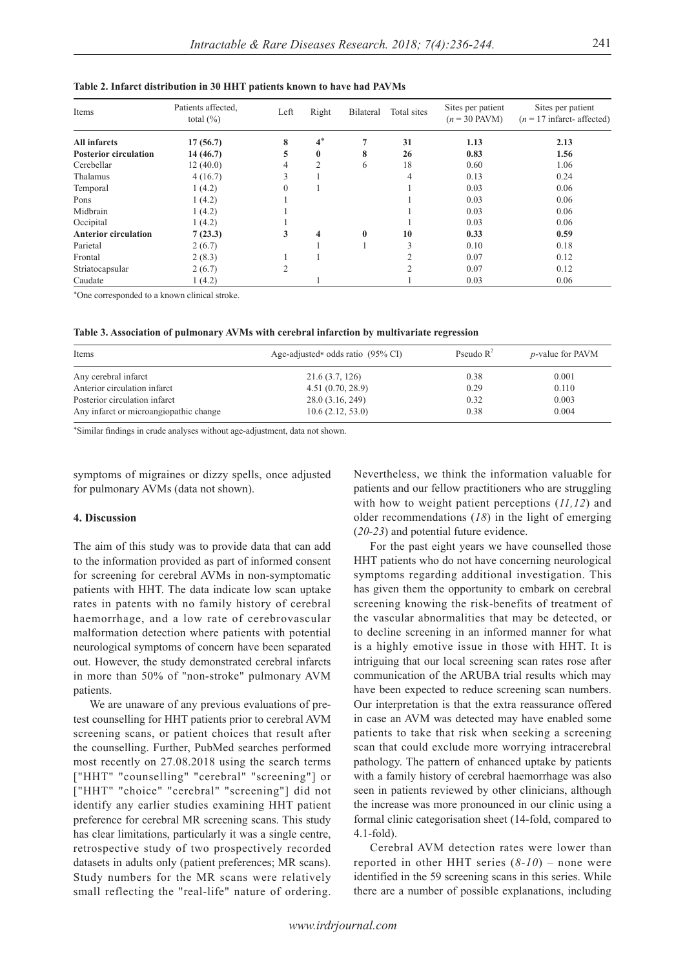|  | Table 2. Infarct distribution in 30 HHT patients known to have had PAVMs |  |  |  |  |  |
|--|--------------------------------------------------------------------------|--|--|--|--|--|
|--|--------------------------------------------------------------------------|--|--|--|--|--|

| Items                        | Patients affected,<br>total $(\% )$ | Left           | Right          | Bilateral | Total sites | Sites per patient<br>$(n = 30$ PAVM) | Sites per patient<br>$(n = 17$ infarct- affected) |
|------------------------------|-------------------------------------|----------------|----------------|-----------|-------------|--------------------------------------|---------------------------------------------------|
| <b>All infarcts</b>          | 17(56.7)                            | 8              | $4^*$          | 7         | 31          | 1.13                                 | 2.13                                              |
| <b>Posterior circulation</b> | 14 (46.7)                           | 5              | $\bf{0}$       | 8         | 26          | 0.83                                 | 1.56                                              |
| Cerebellar                   | 12(40.0)                            | 4              | $\overline{2}$ | 6         | 18          | 0.60                                 | 1.06                                              |
| Thalamus                     | 4(16.7)                             | 3              |                |           | 4           | 0.13                                 | 0.24                                              |
| Temporal                     | 1(4.2)                              | $\Omega$       |                |           |             | 0.03                                 | 0.06                                              |
| Pons                         | 1(4.2)                              |                |                |           |             | 0.03                                 | 0.06                                              |
| Midbrain                     | 1(4.2)                              |                |                |           |             | 0.03                                 | 0.06                                              |
| Occipital                    | 1(4.2)                              |                |                |           |             | 0.03                                 | 0.06                                              |
| <b>Anterior circulation</b>  | 7(23.3)                             | 3              | 4              | $\bf{0}$  | 10          | 0.33                                 | 0.59                                              |
| Parietal                     | 2(6.7)                              |                |                |           | 3           | 0.10                                 | 0.18                                              |
| Frontal                      | 2(8.3)                              |                |                |           |             | 0.07                                 | 0.12                                              |
| Striatocapsular              | 2(6.7)                              | $\overline{2}$ |                |           | C           | 0.07                                 | 0.12                                              |
| Caudate                      | 1(4.2)                              |                |                |           |             | 0.03                                 | 0.06                                              |

\*One corresponded to a known clinical stroke.

|  | Table 3. Association of pulmonary AVMs with cerebral infarction by multivariate regression |  |  |  |
|--|--------------------------------------------------------------------------------------------|--|--|--|
|  |                                                                                            |  |  |  |

| Items                                  | Age-adjusted* odds ratio $(95\% \text{ CI})$ | Pseudo $R^2$ | <i>p</i> -value for PAVM |
|----------------------------------------|----------------------------------------------|--------------|--------------------------|
| Any cerebral infarct                   | 21.6(3.7, 126)                               | 0.38         | 0.001                    |
| Anterior circulation infarct           | 4.51(0.70, 28.9)                             | 0.29         | 0.110                    |
| Posterior circulation infarct          | 28.0 (3.16, 249)                             | 0.32         | 0.003                    |
| Any infarct or microangiopathic change | 10.6(2.12, 53.0)                             | 0.38         | 0.004                    |

\*Similar findings in crude analyses without age-adjustment, data not shown.

symptoms of migraines or dizzy spells, once adjusted for pulmonary AVMs (data not shown).

#### **4. Discussion**

The aim of this study was to provide data that can add to the information provided as part of informed consent for screening for cerebral AVMs in non-symptomatic patients with HHT. The data indicate low scan uptake rates in patents with no family history of cerebral haemorrhage, and a low rate of cerebrovascular malformation detection where patients with potential neurological symptoms of concern have been separated out. However, the study demonstrated cerebral infarcts in more than 50% of "non-stroke" pulmonary AVM patients.

We are unaware of any previous evaluations of pretest counselling for HHT patients prior to cerebral AVM screening scans, or patient choices that result after the counselling. Further, PubMed searches performed most recently on 27.08.2018 using the search terms ["HHT" "counselling" "cerebral" "screening"] or ["HHT" "choice" "cerebral" "screening"] did not identify any earlier studies examining HHT patient preference for cerebral MR screening scans. This study has clear limitations, particularly it was a single centre, retrospective study of two prospectively recorded datasets in adults only (patient preferences; MR scans). Study numbers for the MR scans were relatively small reflecting the "real-life" nature of ordering.

Nevertheless, we think the information valuable for patients and our fellow practitioners who are struggling with how to weight patient perceptions (*11,12*) and older recommendations (*18*) in the light of emerging (*20-23*) and potential future evidence.

For the past eight years we have counselled those HHT patients who do not have concerning neurological symptoms regarding additional investigation. This has given them the opportunity to embark on cerebral screening knowing the risk-benefits of treatment of the vascular abnormalities that may be detected, or to decline screening in an informed manner for what is a highly emotive issue in those with HHT. It is intriguing that our local screening scan rates rose after communication of the ARUBA trial results which may have been expected to reduce screening scan numbers. Our interpretation is that the extra reassurance offered in case an AVM was detected may have enabled some patients to take that risk when seeking a screening scan that could exclude more worrying intracerebral pathology. The pattern of enhanced uptake by patients with a family history of cerebral haemorrhage was also seen in patients reviewed by other clinicians, although the increase was more pronounced in our clinic using a formal clinic categorisation sheet (14-fold, compared to 4.1-fold).

Cerebral AVM detection rates were lower than reported in other HHT series (*8-10*) – none were identified in the 59 screening scans in this series. While there are a number of possible explanations, including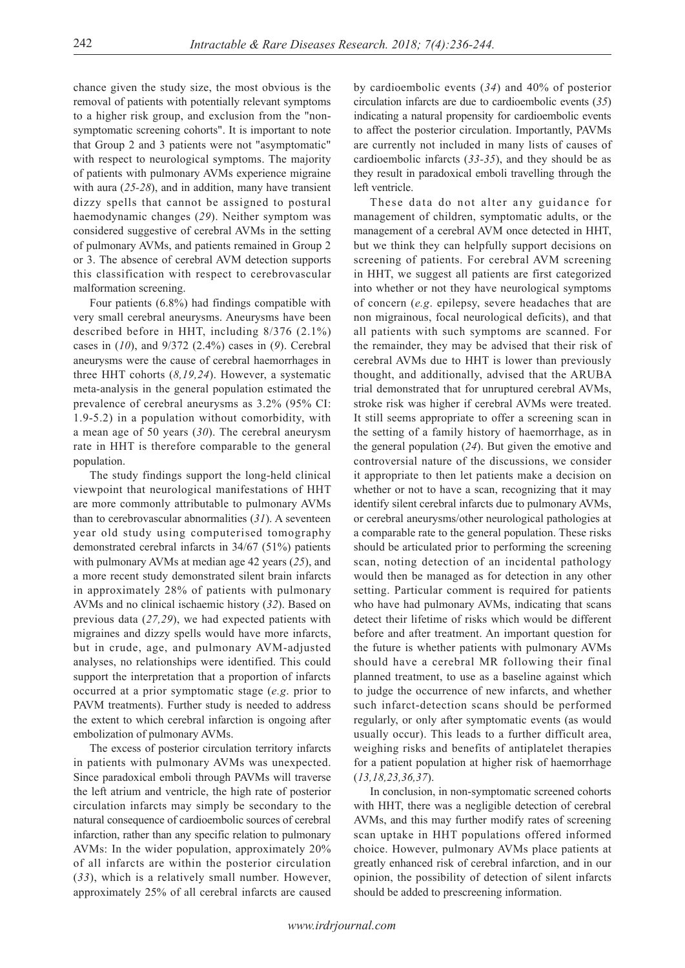chance given the study size, the most obvious is the removal of patients with potentially relevant symptoms to a higher risk group, and exclusion from the "nonsymptomatic screening cohorts". It is important to note that Group 2 and 3 patients were not "asymptomatic" with respect to neurological symptoms. The majority of patients with pulmonary AVMs experience migraine with aura (*25-28*), and in addition, many have transient dizzy spells that cannot be assigned to postural haemodynamic changes (*29*). Neither symptom was considered suggestive of cerebral AVMs in the setting of pulmonary AVMs, and patients remained in Group 2 or 3. The absence of cerebral AVM detection supports this classification with respect to cerebrovascular malformation screening.

Four patients (6.8%) had findings compatible with very small cerebral aneurysms. Aneurysms have been described before in HHT, including 8/376 (2.1%) cases in (*10*), and 9/372 (2.4%) cases in (*9*). Cerebral aneurysms were the cause of cerebral haemorrhages in three HHT cohorts (*8,19,24*). However, a systematic meta-analysis in the general population estimated the prevalence of cerebral aneurysms as 3.2% (95% CI: 1.9-5.2) in a population without comorbidity, with a mean age of 50 years (*30*). The cerebral aneurysm rate in HHT is therefore comparable to the general population.

The study findings support the long-held clinical viewpoint that neurological manifestations of HHT are more commonly attributable to pulmonary AVMs than to cerebrovascular abnormalities (*31*). A seventeen year old study using computerised tomography demonstrated cerebral infarcts in 34/67 (51%) patients with pulmonary AVMs at median age 42 years (*25*), and a more recent study demonstrated silent brain infarcts in approximately 28% of patients with pulmonary AVMs and no clinical ischaemic history (*32*). Based on previous data (*27,29*), we had expected patients with migraines and dizzy spells would have more infarcts, but in crude, age, and pulmonary AVM-adjusted analyses, no relationships were identified. This could support the interpretation that a proportion of infarcts occurred at a prior symptomatic stage (*e.g*. prior to PAVM treatments). Further study is needed to address the extent to which cerebral infarction is ongoing after embolization of pulmonary AVMs.

The excess of posterior circulation territory infarcts in patients with pulmonary AVMs was unexpected. Since paradoxical emboli through PAVMs will traverse the left atrium and ventricle, the high rate of posterior circulation infarcts may simply be secondary to the natural consequence of cardioembolic sources of cerebral infarction, rather than any specific relation to pulmonary AVMs: In the wider population, approximately 20% of all infarcts are within the posterior circulation (*33*), which is a relatively small number. However, approximately 25% of all cerebral infarcts are caused

by cardioembolic events (*34*) and 40% of posterior circulation infarcts are due to cardioembolic events (*35*) indicating a natural propensity for cardioembolic events to affect the posterior circulation. Importantly, PAVMs are currently not included in many lists of causes of cardioembolic infarcts (*33-35*), and they should be as they result in paradoxical emboli travelling through the left ventricle.

These data do not alter any guidance for management of children, symptomatic adults, or the management of a cerebral AVM once detected in HHT, but we think they can helpfully support decisions on screening of patients. For cerebral AVM screening in HHT, we suggest all patients are first categorized into whether or not they have neurological symptoms of concern (*e.g*. epilepsy, severe headaches that are non migrainous, focal neurological deficits), and that all patients with such symptoms are scanned. For the remainder, they may be advised that their risk of cerebral AVMs due to HHT is lower than previously thought, and additionally, advised that the ARUBA trial demonstrated that for unruptured cerebral AVMs, stroke risk was higher if cerebral AVMs were treated. It still seems appropriate to offer a screening scan in the setting of a family history of haemorrhage, as in the general population (*24*). But given the emotive and controversial nature of the discussions, we consider it appropriate to then let patients make a decision on whether or not to have a scan, recognizing that it may identify silent cerebral infarcts due to pulmonary AVMs, or cerebral aneurysms/other neurological pathologies at a comparable rate to the general population. These risks should be articulated prior to performing the screening scan, noting detection of an incidental pathology would then be managed as for detection in any other setting. Particular comment is required for patients who have had pulmonary AVMs, indicating that scans detect their lifetime of risks which would be different before and after treatment. An important question for the future is whether patients with pulmonary AVMs should have a cerebral MR following their final planned treatment, to use as a baseline against which to judge the occurrence of new infarcts, and whether such infarct-detection scans should be performed regularly, or only after symptomatic events (as would usually occur). This leads to a further difficult area, weighing risks and benefits of antiplatelet therapies for a patient population at higher risk of haemorrhage (*13,18,23,36,37*).

In conclusion, in non-symptomatic screened cohorts with HHT, there was a negligible detection of cerebral AVMs, and this may further modify rates of screening scan uptake in HHT populations offered informed choice. However, pulmonary AVMs place patients at greatly enhanced risk of cerebral infarction, and in our opinion, the possibility of detection of silent infarcts should be added to prescreening information.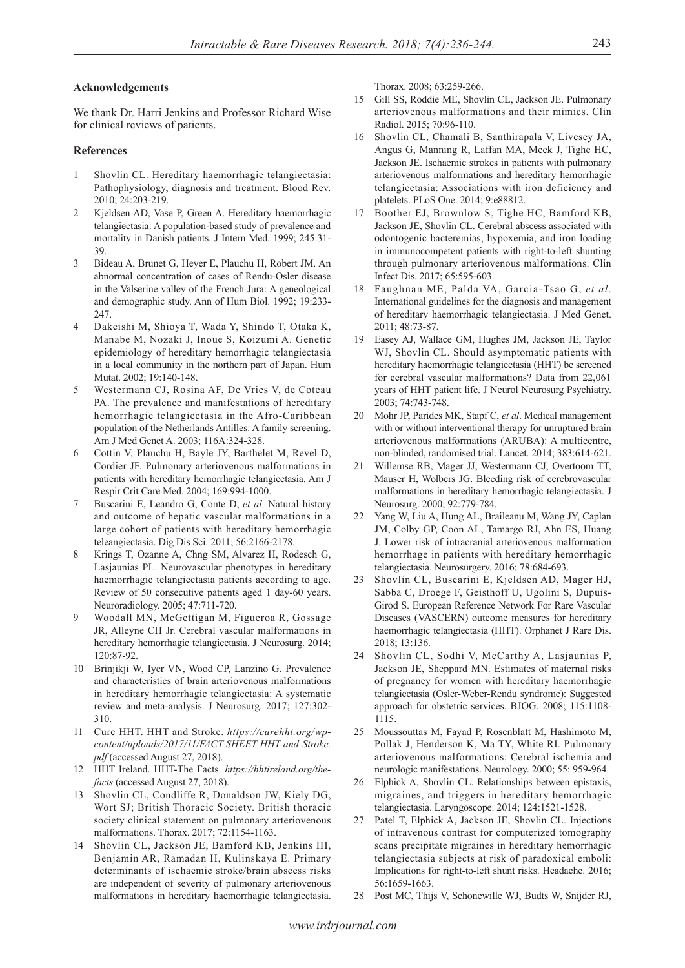# **Acknowledgements**

We thank Dr. Harri Jenkins and Professor Richard Wise for clinical reviews of patients.

### **References**

- 1 Shovlin CL. Hereditary haemorrhagic telangiectasia: Pathophysiology, diagnosis and treatment. Blood Rev. 2010; 24:203-219.
- Kjeldsen AD, Vase P, Green A. Hereditary haemorrhagic telangiectasia: A population-based study of prevalence and mortality in Danish patients. J Intern Med. 1999; 245:31- 39.
- 3 Bideau A, Brunet G, Heyer E, Plauchu H, Robert JM. An abnormal concentration of cases of Rendu-Osler disease in the Valserine valley of the French Jura: A geneological and demographic study. Ann of Hum Biol. 1992; 19:233- 247.
- 4 Dakeishi M, Shioya T, Wada Y, Shindo T, Otaka K, Manabe M, Nozaki J, Inoue S, Koizumi A. Genetic epidemiology of hereditary hemorrhagic telangiectasia in a local community in the northern part of Japan. Hum Mutat. 2002; 19:140-148.
- 5 Westermann CJ, Rosina AF, De Vries V, de Coteau PA. The prevalence and manifestations of hereditary hemorrhagic telangiectasia in the Afro-Caribbean population of the Netherlands Antilles: A family screening. Am J Med Genet A. 2003; 116A:324-328.
- 6 Cottin V, Plauchu H, Bayle JY, Barthelet M, Revel D, Cordier JF. Pulmonary arteriovenous malformations in patients with hereditary hemorrhagic telangiectasia. Am J Respir Crit Care Med. 2004; 169:994-1000.
- 7 Buscarini E, Leandro G, Conte D, *et al*. Natural history and outcome of hepatic vascular malformations in a large cohort of patients with hereditary hemorrhagic teleangiectasia. Dig Dis Sci. 2011; 56:2166-2178.
- 8 Krings T, Ozanne A, Chng SM, Alvarez H, Rodesch G, Lasjaunias PL. Neurovascular phenotypes in hereditary haemorrhagic telangiectasia patients according to age. Review of 50 consecutive patients aged 1 day-60 years. Neuroradiology. 2005; 47:711-720.
- 9 Woodall MN, McGettigan M, Figueroa R, Gossage JR, Alleyne CH Jr. Cerebral vascular malformations in hereditary hemorrhagic telangiectasia. J Neurosurg. 2014; 120:87-92.
- 10 Brinjikji W, Iyer VN, Wood CP, Lanzino G. Prevalence and characteristics of brain arteriovenous malformations in hereditary hemorrhagic telangiectasia: A systematic review and meta-analysis. J Neurosurg. 2017; 127:302- 310.
- 11 Cure HHT. HHT and Stroke. *https://curehht.org/wpcontent/uploads/2017/11/FACT-SHEET-HHT-and-Stroke. pdf* (accessed August 27, 2018).
- 12 HHT Ireland. HHT-The Facts. *https://hhtireland.org/thefacts* (accessed August 27, 2018).
- 13 Shovlin CL, Condliffe R, Donaldson JW, Kiely DG, Wort SJ; British Thoracic Society. British thoracic society clinical statement on pulmonary arteriovenous malformations. Thorax. 2017; 72:1154-1163.
- 14 Shovlin CL, Jackson JE, Bamford KB, Jenkins IH, Benjamin AR, Ramadan H, Kulinskaya E. Primary determinants of ischaemic stroke/brain abscess risks are independent of severity of pulmonary arteriovenous malformations in hereditary haemorrhagic telangiectasia.

Thorax. 2008; 63:259-266.

- 15 Gill SS, Roddie ME, Shovlin CL, Jackson JE. Pulmonary arteriovenous malformations and their mimics. Clin Radiol. 2015; 70:96-110.
- 16 Shovlin CL, Chamali B, Santhirapala V, Livesey JA, Angus G, Manning R, Laffan MA, Meek J, Tighe HC, Jackson JE. Ischaemic strokes in patients with pulmonary arteriovenous malformations and hereditary hemorrhagic telangiectasia: Associations with iron deficiency and platelets. PLoS One. 2014; 9:e88812.
- 17 Boother EJ, Brownlow S, Tighe HC, Bamford KB, Jackson JE, Shovlin CL. Cerebral abscess associated with odontogenic bacteremias, hypoxemia, and iron loading in immunocompetent patients with right-to-left shunting through pulmonary arteriovenous malformations. Clin Infect Dis. 2017; 65:595-603.
- 18 Faughnan ME, Palda VA, Garcia-Tsao G, *et al*. International guidelines for the diagnosis and management of hereditary haemorrhagic telangiectasia. J Med Genet. 2011; 48:73-87.
- 19 Easey AJ, Wallace GM, Hughes JM, Jackson JE, Taylor WJ, Shovlin CL. Should asymptomatic patients with hereditary haemorrhagic telangiectasia (HHT) be screened for cerebral vascular malformations? Data from 22,061 years of HHT patient life. J Neurol Neurosurg Psychiatry. 2003; 74:743-748.
- 20 Mohr JP, Parides MK, Stapf C, *et al*. Medical management with or without interventional therapy for unruptured brain arteriovenous malformations (ARUBA): A multicentre, non-blinded, randomised trial. Lancet. 2014; 383:614-621.
- 21 Willemse RB, Mager JJ, Westermann CJ, Overtoom TT, Mauser H, Wolbers JG. Bleeding risk of cerebrovascular malformations in hereditary hemorrhagic telangiectasia. J Neurosurg. 2000; 92:779-784.
- 22 Yang W, Liu A, Hung AL, Braileanu M, Wang JY, Caplan JM, Colby GP, Coon AL, Tamargo RJ, Ahn ES, Huang J. Lower risk of intracranial arteriovenous malformation hemorrhage in patients with hereditary hemorrhagic telangiectasia. Neurosurgery. 2016; 78:684-693.
- 23 Shovlin CL, Buscarini E, Kjeldsen AD, Mager HJ, Sabba C, Droege F, Geisthoff U, Ugolini S, Dupuis-Girod S. European Reference Network For Rare Vascular Diseases (VASCERN) outcome measures for hereditary haemorrhagic telangiectasia (HHT). Orphanet J Rare Dis. 2018; 13:136.
- 24 Shovlin CL, Sodhi V, McCarthy A, Lasjaunias P, Jackson JE, Sheppard MN. Estimates of maternal risks of pregnancy for women with hereditary haemorrhagic telangiectasia (Osler-Weber-Rendu syndrome): Suggested approach for obstetric services. BJOG. 2008; 115:1108- 1115.
- 25 Moussouttas M, Fayad P, Rosenblatt M, Hashimoto M, Pollak J, Henderson K, Ma TY, White RI. Pulmonary arteriovenous malformations: Cerebral ischemia and neurologic manifestations. Neurology. 2000; 55: 959-964.
- 26 Elphick A, Shovlin CL. Relationships between epistaxis, migraines, and triggers in hereditary hemorrhagic telangiectasia. Laryngoscope. 2014; 124:1521-1528.
- 27 Patel T, Elphick A, Jackson JE, Shovlin CL. Injections of intravenous contrast for computerized tomography scans precipitate migraines in hereditary hemorrhagic telangiectasia subjects at risk of paradoxical emboli: Implications for right-to-left shunt risks. Headache. 2016; 56:1659-1663.
- 28 Post MC, Thijs V, Schonewille WJ, Budts W, Snijder RJ,